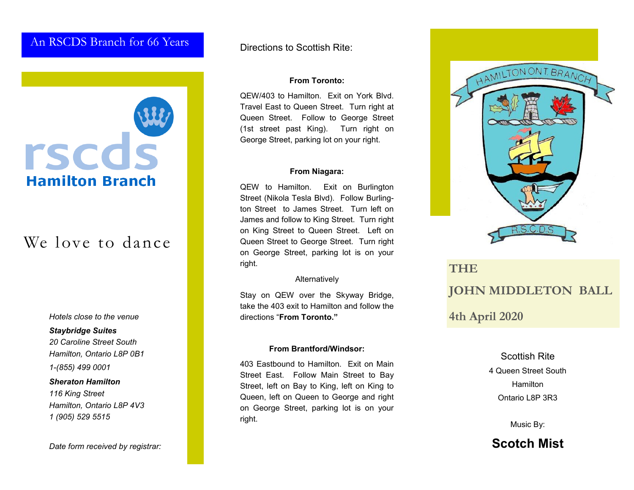### An RSCDS Branch for 66 Years



# We love to dance

*Hotels close to the venue*

#### *Staybridge Suites*

*20 Caroline Street South Hamilton, Ontario L8P 0B1*

*1-(855) 499 0001*

### *Sheraton Hamilton*

*116 King Street Hamilton, Ontario L8P 4V3 1 (905) 529 5515*

*Date form received by registrar:*

Directions to Scottish Rite:

### **From Toronto:**

QEW/403 to Hamilton. Exit on York Blvd. Travel East to Queen Street. Turn right at Queen Street. Follow to George Street (1st street past King). Turn right on George Street, parking lot on your right.

#### **From Niagara:**

QEW to Hamilton. Exit on Burlington Street (Nikola Tesla Blvd). Follow Burlington Street to James Street. Turn left on James and follow to King Street. Turn right on King Street to Queen Street. Left on Queen Street to George Street. Turn right on George Street, parking lot is on your right.

### Alternatively

Stay on QEW over the Skyway Bridge, take the 403 exit to Hamilton and follow the directions "**From Toronto."**

### **From Brantford/Windsor:**

403 Eastbound to Hamilton. Exit on Main Street East. Follow Main Street to Bay Street, left on Bay to King, left on King to Queen, left on Queen to George and right on George Street, parking lot is on your right.



# **THE JOHN MIDDLETON BALL 4th April 2020**

### Scottish Rite

4 Queen Street South **Hamilton** Ontario L8P 3R3

Music By:

**Scotch Mist**